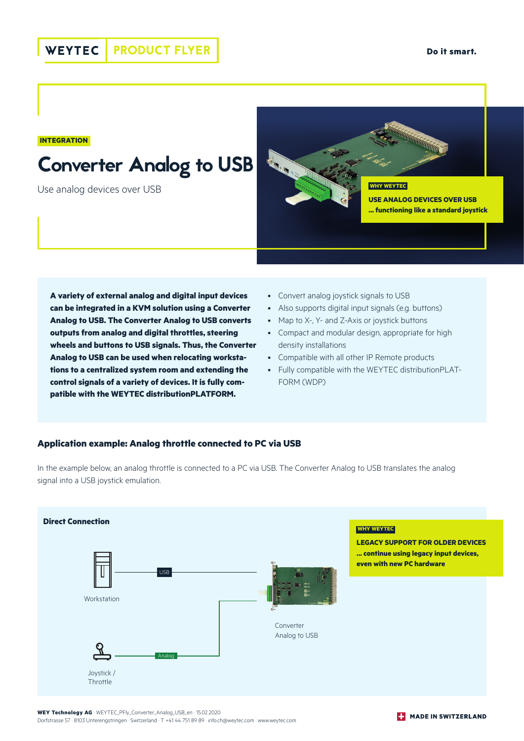**INTEGRATION**

# Converter Analog to USB

Use analog devices over USB



**A variety of external analog and digital input devices can be integrated in a KVM solution using a Converter Analog to USB. The Converter Analog to USB converts outputs from analog and digital throttles, steering wheels and buttons to USB signals. Thus, the Converter Analog to USB can be used when relocating workstations to a centralized system room and extending the control signals of a variety of devices. It is fully compatible with the WEYTEC distributionPLATFORM.** 

- Convert analog joystick signals to USB
- Also supports digital input signals (e.g. buttons)
- Map to X-, Y- and Z-Axis or joystick buttons
- Compact and modular design, appropriate for high density installations
- Compatible with all other IP Remote products
- Fully compatible with the WEYTEC distributionPLAT-FORM (WDP)

#### **Application example: Analog throttle connected to PC via USB**

In the example below, an analog throttle is connected to a PC via USB. The Converter Analog to USB translates the analog signal into a USB joystick emulation.